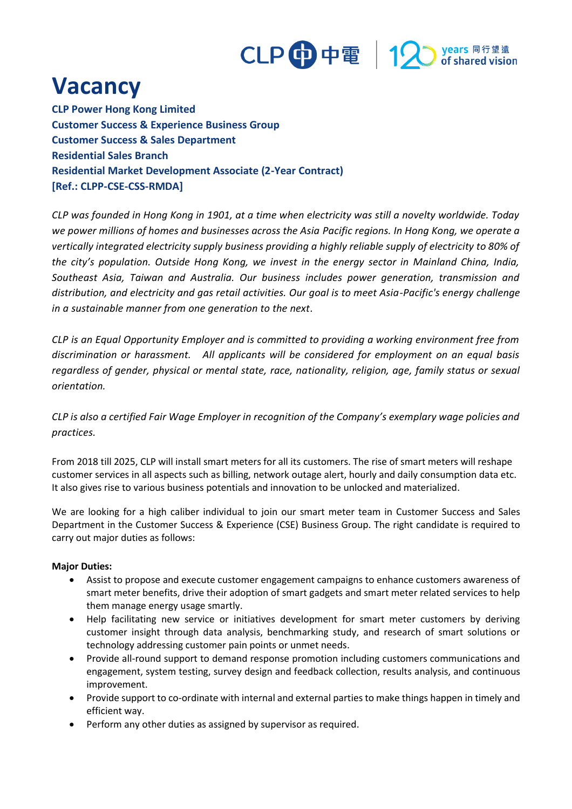

# **Vacancy**

**CLP Power Hong Kong Limited Customer Success & Experience Business Group Customer Success & Sales Department Residential Sales Branch Residential Market Development Associate (2-Year Contract) [Ref.: CLPP-CSE-CSS-RMDA]**

*CLP was founded in Hong Kong in 1901, at a time when electricity was still a novelty worldwide. Today we power millions of homes and businesses across the Asia Pacific regions. In Hong Kong, we operate a vertically integrated electricity supply business providing a highly reliable supply of electricity to 80% of the city's population. Outside Hong Kong, we invest in the energy sector in Mainland China, India, Southeast Asia, Taiwan and Australia. Our business includes power generation, transmission and distribution, and electricity and gas retail activities. Our goal is to meet Asia-Pacific's energy challenge in a sustainable manner from one generation to the next.*

*CLP is an Equal Opportunity Employer and is committed to providing a working environment free from discrimination or harassment. All applicants will be considered for employment on an equal basis regardless of gender, physical or mental state, race, nationality, religion, age, family status or sexual orientation.*

*CLP is also a certified Fair Wage Employer in recognition of the Company's exemplary wage policies and practices.*

From 2018 till 2025, CLP will install smart meters for all its customers. The rise of smart meters will reshape customer services in all aspects such as billing, network outage alert, hourly and daily consumption data etc. It also gives rise to various business potentials and innovation to be unlocked and materialized.

We are looking for a high caliber individual to join our smart meter team in Customer Success and Sales Department in the Customer Success & Experience (CSE) Business Group. The right candidate is required to carry out major duties as follows:

#### **Major Duties:**

- Assist to propose and execute customer engagement campaigns to enhance customers awareness of smart meter benefits, drive their adoption of smart gadgets and smart meter related services to help them manage energy usage smartly.
- Help facilitating new service or initiatives development for smart meter customers by deriving customer insight through data analysis, benchmarking study, and research of smart solutions or technology addressing customer pain points or unmet needs.
- Provide all-round support to demand response promotion including customers communications and engagement, system testing, survey design and feedback collection, results analysis, and continuous improvement.
- Provide support to co-ordinate with internal and external parties to make things happen in timely and efficient way.
- Perform any other duties as assigned by supervisor as required.